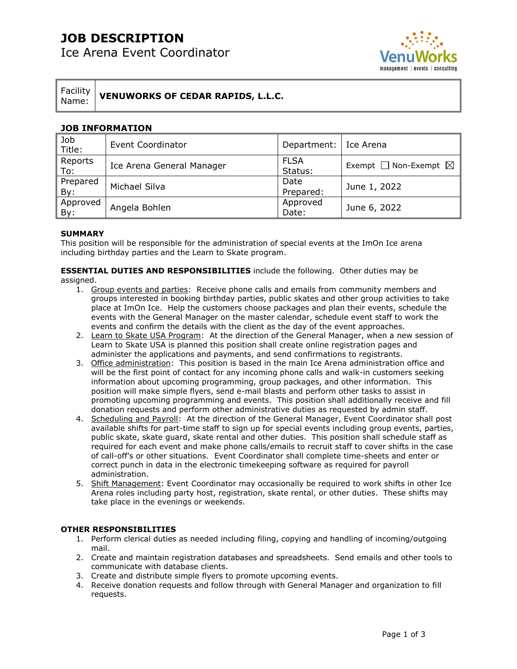# **JOB DESCRIPTION**

Ice Arena Event Coordinator



Facility Name: **VENUWORKS OF CEDAR RAPIDS, L.L.C.**

### **JOB INFORMATION**

| Job<br>Title:   | <b>Event Coordinator</b>  | Department:   Ice Arena |                                      |
|-----------------|---------------------------|-------------------------|--------------------------------------|
| Reports<br>To:  | Ice Arena General Manager | <b>FLSA</b><br>Status:  | Exempt $\Box$ Non-Exempt $\boxtimes$ |
| Prepared<br>By: | Michael Silva             | Date<br>Prepared:       | June 1, 2022                         |
| Approved<br>By: | Angela Bohlen             | Approved<br>Date:       | June 6, 2022                         |

#### **SUMMARY**

This position will be responsible for the administration of special events at the ImOn Ice arena including birthday parties and the Learn to Skate program.

**ESSENTIAL DUTIES AND RESPONSIBILITIES** include the following. Other duties may be assigned.

- 1. Group events and parties: Receive phone calls and emails from community members and groups interested in booking birthday parties, public skates and other group activities to take place at ImOn Ice. Help the customers choose packages and plan their events, schedule the events with the General Manager on the master calendar, schedule event staff to work the events and confirm the details with the client as the day of the event approaches.
- 2. Learn to Skate USA Program: At the direction of the General Manager, when a new session of Learn to Skate USA is planned this position shall create online registration pages and administer the applications and payments, and send confirmations to registrants.
- 3. Office administration: This position is based in the main Ice Arena administration office and will be the first point of contact for any incoming phone calls and walk-in customers seeking information about upcoming programming, group packages, and other information. This position will make simple flyers, send e-mail blasts and perform other tasks to assist in promoting upcoming programming and events. This position shall additionally receive and fill donation requests and perform other administrative duties as requested by admin staff.
- 4. Scheduling and Payroll: At the direction of the General Manager, Event Coordinator shall post available shifts for part-time staff to sign up for special events including group events, parties, public skate, skate guard, skate rental and other duties. This position shall schedule staff as required for each event and make phone calls/emails to recruit staff to cover shifts in the case of call-off's or other situations. Event Coordinator shall complete time-sheets and enter or correct punch in data in the electronic timekeeping software as required for payroll administration.
- 5. Shift Management: Event Coordinator may occasionally be required to work shifts in other Ice Arena roles including party host, registration, skate rental, or other duties. These shifts may take place in the evenings or weekends.

#### **OTHER RESPONSIBILITIES**

- 1. Perform clerical duties as needed including filing, copying and handling of incoming/outgoing mail.
- 2. Create and maintain registration databases and spreadsheets. Send emails and other tools to communicate with database clients.
- 3. Create and distribute simple flyers to promote upcoming events.
- 4. Receive donation requests and follow through with General Manager and organization to fill requests.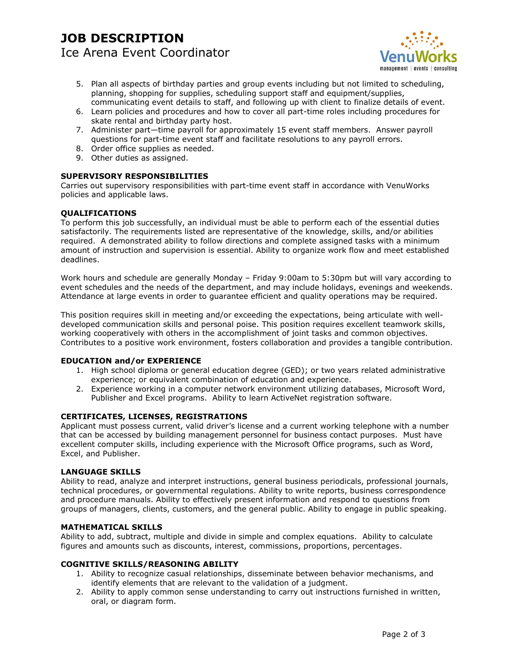## **JOB DESCRIPTION**  Ice Arena Event Coordinator



- 5. Plan all aspects of birthday parties and group events including but not limited to scheduling, planning, shopping for supplies, scheduling support staff and equipment/supplies, communicating event details to staff, and following up with client to finalize details of event.
- 6. Learn policies and procedures and how to cover all part-time roles including procedures for skate rental and birthday party host.
- 7. Administer part—time payroll for approximately 15 event staff members. Answer payroll questions for part-time event staff and facilitate resolutions to any payroll errors.
- 8. Order office supplies as needed.
- 9. Other duties as assigned.

### **SUPERVISORY RESPONSIBILITIES**

Carries out supervisory responsibilities with part-time event staff in accordance with VenuWorks policies and applicable laws.

#### **QUALIFICATIONS**

To perform this job successfully, an individual must be able to perform each of the essential duties satisfactorily. The requirements listed are representative of the knowledge, skills, and/or abilities required. A demonstrated ability to follow directions and complete assigned tasks with a minimum amount of instruction and supervision is essential. Ability to organize work flow and meet established deadlines.

Work hours and schedule are generally Monday – Friday 9:00am to 5:30pm but will vary according to event schedules and the needs of the department, and may include holidays, evenings and weekends. Attendance at large events in order to guarantee efficient and quality operations may be required.

This position requires skill in meeting and/or exceeding the expectations, being articulate with welldeveloped communication skills and personal poise. This position requires excellent teamwork skills, working cooperatively with others in the accomplishment of joint tasks and common objectives. Contributes to a positive work environment, fosters collaboration and provides a tangible contribution.

#### **EDUCATION and/or EXPERIENCE**

- 1. High school diploma or general education degree (GED); or two years related administrative experience; or equivalent combination of education and experience.
- 2. Experience working in a computer network environment utilizing databases, Microsoft Word, Publisher and Excel programs. Ability to learn ActiveNet registration software.

#### **CERTIFICATES, LICENSES, REGISTRATIONS**

Applicant must possess current, valid driver's license and a current working telephone with a number that can be accessed by building management personnel for business contact purposes. Must have excellent computer skills, including experience with the Microsoft Office programs, such as Word, Excel, and Publisher.

#### **LANGUAGE SKILLS**

Ability to read, analyze and interpret instructions, general business periodicals, professional journals, technical procedures, or governmental regulations. Ability to write reports, business correspondence and procedure manuals. Ability to effectively present information and respond to questions from groups of managers, clients, customers, and the general public. Ability to engage in public speaking.

#### **MATHEMATICAL SKILLS**

Ability to add, subtract, multiple and divide in simple and complex equations. Ability to calculate figures and amounts such as discounts, interest, commissions, proportions, percentages.

#### **COGNITIVE SKILLS/REASONING ABILITY**

- 1. Ability to recognize casual relationships, disseminate between behavior mechanisms, and identify elements that are relevant to the validation of a judgment.
- 2. Ability to apply common sense understanding to carry out instructions furnished in written, oral, or diagram form.